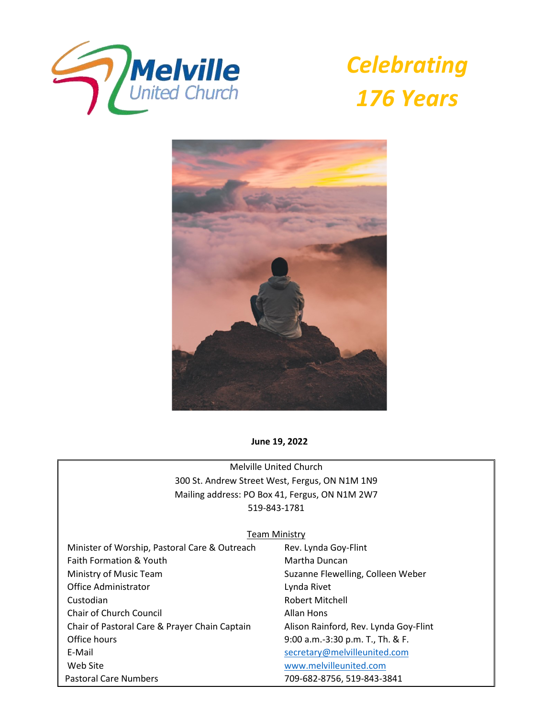

*Celebrating 176 Years*



**June 19, 2022**

Melville United Church 300 St. Andrew Street West, Fergus, ON N1M 1N9 Mailing address: PO Box 41, Fergus, ON N1M 2W7 519-843-1781

#### Team Ministry

Minister of Worship, Pastoral Care & Outreach Rev. Lynda Goy-Flint Faith Formation & Youth Martha Duncan Ministry of Music Team Suzanne Flewelling, Colleen Weber Office Administrator **Lynda Rivet**  Custodian Robert Mitchell Chair of Church Council **Allan Hons**  Chair of Pastoral Care & Prayer Chain Captain Alison Rainford, Rev. Lynda Goy-Flint Office hours 9:00 a.m.-3:30 p.m. T., Th. & F. E-Mail [secretary@melvilleunited.com](mailto:secretary@melvilleunited.com) Web Site [www.melvilleunited.com](http://www.melvilleunited.com/) Pastoral Care Numbers 709-682-8756, 519-843-3841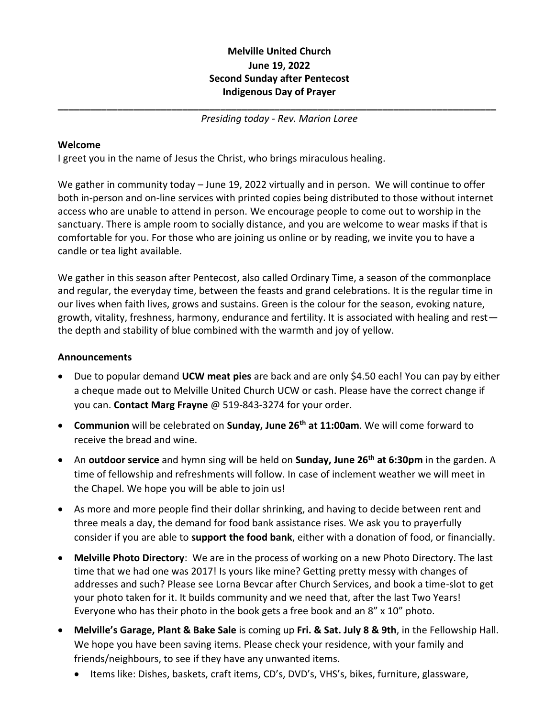# **Melville United Church June 19, 2022 Second Sunday after Pentecost Indigenous Day of Prayer**

**\_\_\_\_\_\_\_\_\_\_\_\_\_\_\_\_\_\_\_\_\_\_\_\_\_\_\_\_\_\_\_\_\_\_\_\_\_\_\_\_\_\_\_\_\_\_\_\_\_\_\_\_\_\_\_\_\_\_\_\_\_\_\_\_\_\_\_\_\_\_\_\_\_\_\_\_\_\_\_\_\_** *Presiding today - Rev. Marion Loree*

## **Welcome**

I greet you in the name of Jesus the Christ, who brings miraculous healing.

We gather in community today – June 19, 2022 virtually and in person. We will continue to offer both in-person and on-line services with printed copies being distributed to those without internet access who are unable to attend in person. We encourage people to come out to worship in the sanctuary. There is ample room to socially distance, and you are welcome to wear masks if that is comfortable for you. For those who are joining us online or by reading, we invite you to have a candle or tea light available.

We gather in this season after Pentecost, also called Ordinary Time, a season of the commonplace and regular, the everyday time, between the feasts and grand celebrations. It is the regular time in our lives when faith lives, grows and sustains. Green is the colour for the season, evoking nature, growth, vitality, freshness, harmony, endurance and fertility. It is associated with healing and rest the depth and stability of blue combined with the warmth and joy of yellow.

## **Announcements**

- Due to popular demand **UCW meat pies** are back and are only \$4.50 each! You can pay by either a cheque made out to Melville United Church UCW or cash. Please have the correct change if you can. **Contact Marg Frayne** @ 519-843-3274 for your order.
- **Communion** will be celebrated on **Sunday, June 26th at 11:00am**. We will come forward to receive the bread and wine.
- An **outdoor service** and hymn sing will be held on **Sunday, June 26th at 6:30pm** in the garden. A time of fellowship and refreshments will follow. In case of inclement weather we will meet in the Chapel. We hope you will be able to join us!
- As more and more people find their dollar shrinking, and having to decide between rent and three meals a day, the demand for food bank assistance rises. We ask you to prayerfully consider if you are able to **support the food bank**, either with a donation of food, or financially.
- **Melville Photo Directory**: We are in the process of working on a new Photo Directory. The last time that we had one was 2017! Is yours like mine? Getting pretty messy with changes of addresses and such? Please see Lorna Bevcar after Church Services, and book a time-slot to get your photo taken for it. It builds community and we need that, after the last Two Years! Everyone who has their photo in the book gets a free book and an 8" x 10" photo.
- **Melville's Garage, Plant & Bake Sale** is coming up **Fri. & Sat. July 8 & 9th**, in the Fellowship Hall. We hope you have been saving items. Please check your residence, with your family and friends/neighbours, to see if they have any unwanted items.
	- Items like: Dishes, baskets, craft items, CD's, DVD's, VHS's, bikes, furniture, glassware,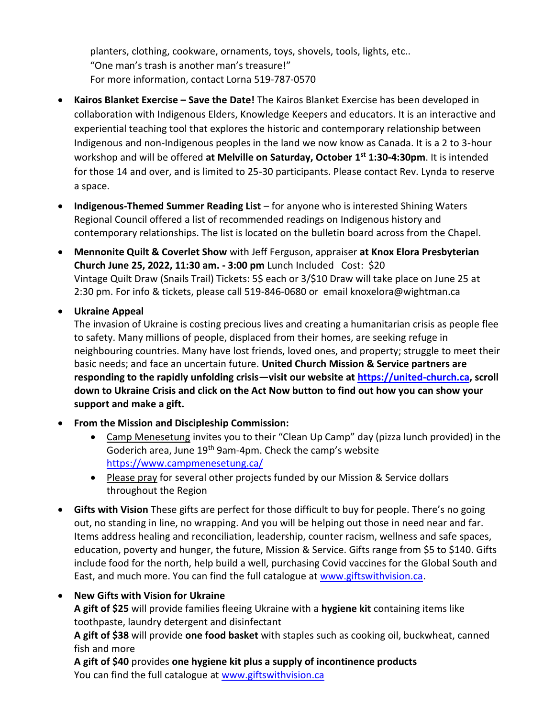planters, clothing, cookware, ornaments, toys, shovels, tools, lights, etc.. "One man's trash is another man's treasure!" For more information, contact Lorna 519-787-0570

- **Kairos Blanket Exercise – Save the Date!** The Kairos Blanket Exercise has been developed in collaboration with Indigenous Elders, Knowledge Keepers and educators. It is an interactive and experiential teaching tool that explores the historic and contemporary relationship between Indigenous and non-Indigenous peoples in the land we now know as Canada. It is a 2 to 3-hour workshop and will be offered **at Melville on Saturday, October 1st 1:30-4:30pm**. It is intended for those 14 and over, and is limited to 25-30 participants. Please contact Rev. Lynda to reserve a space.
- **Indigenous-Themed Summer Reading List**  for anyone who is interested Shining Waters Regional Council offered a list of recommended readings on Indigenous history and contemporary relationships. The list is located on the bulletin board across from the Chapel.
- **Mennonite Quilt & Coverlet Show** with Jeff Ferguson, appraiser **at Knox Elora Presbyterian Church June 25, 2022, 11:30 am. - 3:00 pm** Lunch Included Cost: \$20 Vintage Quilt Draw (Snails Trail) Tickets: 5\$ each or 3/\$10 Draw will take place on June 25 at 2:30 pm. For info & tickets, please call 519-846-0680 or email knoxelora@wightman.ca

• **Ukraine Appeal**

The invasion of Ukraine is costing precious lives and creating a humanitarian crisis as people flee to safety. Many millions of people, displaced from their homes, are seeking refuge in neighbouring countries. Many have lost friends, loved ones, and property; struggle to meet their basic needs; and face an uncertain future. **United Church Mission & Service partners are responding to the rapidly unfolding crisis—visit our website at [https://united-church.ca,](https://united-church.ca/) scroll down to Ukraine Crisis and click on the Act Now button to find out how you can show your support and make a gift.**

- **From the Mission and Discipleship Commission:**
	- Camp Menesetung invites you to their "Clean Up Camp" day (pizza lunch provided) in the Goderich area, June 19<sup>th</sup> 9am-4pm. Check the camp's website <https://www.campmenesetung.ca/>
	- Please pray for several other projects funded by our Mission & Service dollars throughout the Region
- **Gifts with Vision** These gifts are perfect for those difficult to buy for people. There's no going out, no standing in line, no wrapping. And you will be helping out those in need near and far. Items address healing and reconciliation, leadership, counter racism, wellness and safe spaces, education, poverty and hunger, the future, Mission & Service. Gifts range from \$5 to \$140. Gifts include food for the north, help build a well, purchasing Covid vaccines for the Global South and East, and much more. You can find the full catalogue at [www.giftswithvision.ca.](http://www.giftswithvision.ca/)

# • **New Gifts with Vision for Ukraine**

**A gift of \$25** will provide families fleeing Ukraine with a **hygiene kit** containing items like toothpaste, laundry detergent and disinfectant

**A gift of \$38** will provide **one food basket** with staples such as cooking oil, buckwheat, canned fish and more

**A gift of \$40** provides **one hygiene kit plus a supply of incontinence products** You can find the full catalogue at [www.giftswithvision.ca](http://www.giftswithvision.ca/)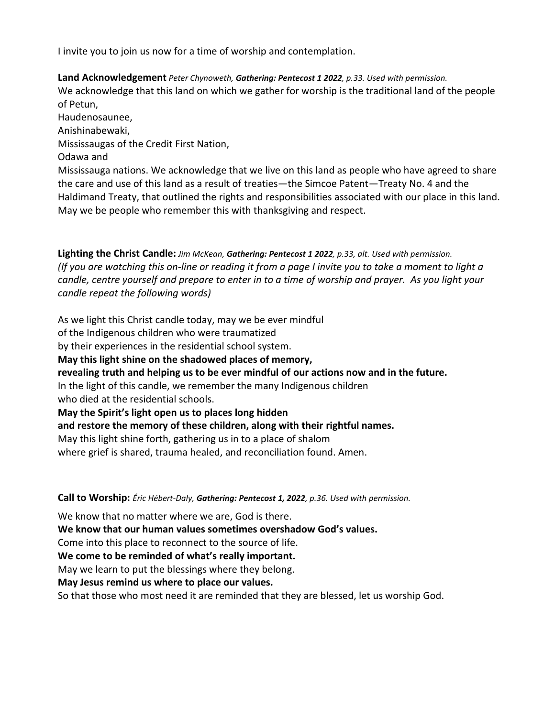I invite you to join us now for a time of worship and contemplation.

**Land Acknowledgement** *Peter Chynoweth, Gathering: Pentecost 1 2022, p.33. Used with permission.* We acknowledge that this land on which we gather for worship is the traditional land of the people of Petun, Haudenosaunee,

Anishinabewaki,

Mississaugas of the Credit First Nation,

Odawa and

Mississauga nations. We acknowledge that we live on this land as people who have agreed to share the care and use of this land as a result of treaties—the Simcoe Patent—Treaty No. 4 and the Haldimand Treaty, that outlined the rights and responsibilities associated with our place in this land. May we be people who remember this with thanksgiving and respect.

**Lighting the Christ Candle:** *Jim McKean, Gathering: Pentecost 1 2022, p.33, alt. Used with permission. (If you are watching this on-line or reading it from a page I invite you to take a moment to light a candle, centre yourself and prepare to enter in to a time of worship and prayer. As you light your candle repeat the following words)*

As we light this Christ candle today, may we be ever mindful

of the Indigenous children who were traumatized

by their experiences in the residential school system.

**May this light shine on the shadowed places of memory,** 

**revealing truth and helping us to be ever mindful of our actions now and in the future.**

In the light of this candle, we remember the many Indigenous children who died at the residential schools.

**May the Spirit's light open us to places long hidden** 

**and restore the memory of these children, along with their rightful names.**

May this light shine forth, gathering us in to a place of shalom

where grief is shared, trauma healed, and reconciliation found. Amen.

**Call to Worship:** *Éric Hébert-Daly, Gathering: Pentecost 1, 2022, p.36. Used with permission.*

We know that no matter where we are, God is there.

**We know that our human values sometimes overshadow God's values.**

Come into this place to reconnect to the source of life.

**We come to be reminded of what's really important.**

May we learn to put the blessings where they belong.

**May Jesus remind us where to place our values.**

So that those who most need it are reminded that they are blessed, let us worship God.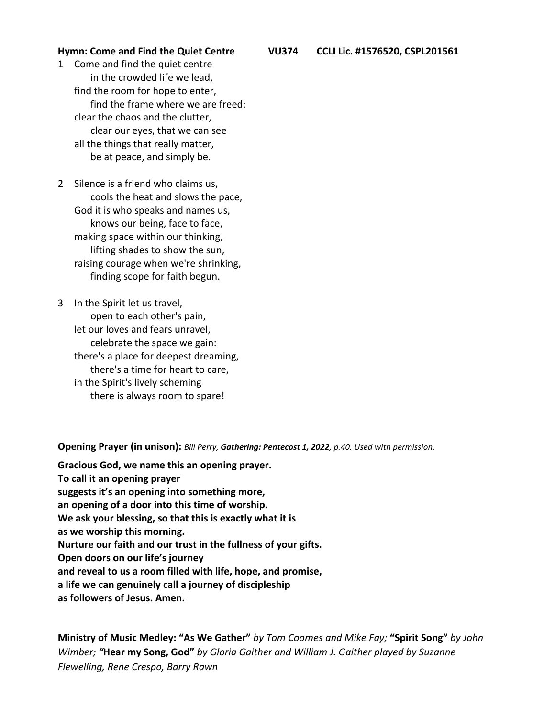1 Come and find the quiet centre in the crowded life we lead, find the room for hope to enter, find the frame where we are freed: clear the chaos and the clutter, clear our eyes, that we can see all the things that really matter, be at peace, and simply be.

2 Silence is a friend who claims us, cools the heat and slows the pace, God it is who speaks and names us, knows our being, face to face, making space within our thinking, lifting shades to show the sun, raising courage when we're shrinking, finding scope for faith begun.

3 In the Spirit let us travel, open to each other's pain, let our loves and fears unravel, celebrate the space we gain: there's a place for deepest dreaming, there's a time for heart to care, in the Spirit's lively scheming there is always room to spare!

**Opening Prayer (in unison):** *Bill Perry, Gathering: Pentecost 1, 2022, p.40. Used with permission.*

**Gracious God, we name this an opening prayer. To call it an opening prayer suggests it's an opening into something more, an opening of a door into this time of worship. We ask your blessing, so that this is exactly what it is as we worship this morning. Nurture our faith and our trust in the fullness of your gifts. Open doors on our life's journey and reveal to us a room filled with life, hope, and promise, a life we can genuinely call a journey of discipleship as followers of Jesus. Amen.**

**Ministry of Music Medley: "As We Gather"** *by Tom Coomes and Mike Fay;* **"Spirit Song"** *by John Wimber; "***Hear my Song, God"** *by Gloria Gaither and William J. Gaither played by Suzanne Flewelling, Rene Crespo, Barry Rawn*

**Hymn: Come and Find the Quiet Centre VU374 CCLI Lic. #1576520, CSPL201561**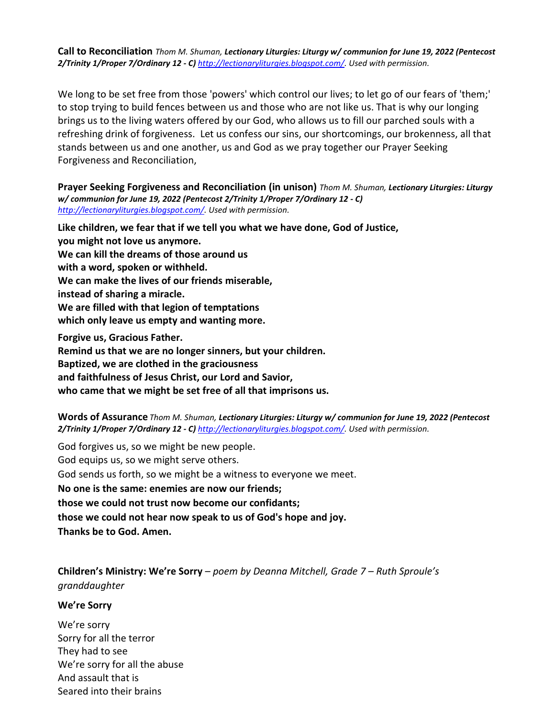**Call to Reconciliation** *Thom M. Shuman, Lectionary Liturgies: Liturgy w/ communion for June 19, 2022 (Pentecost 2/Trinity 1/Proper 7/Ordinary 12 - C) [http://lectionaryliturgies.blogspot.com/.](http://lectionaryliturgies.blogspot.com/) Used with permission.*

We long to be set free from those 'powers' which control our lives; to let go of our fears of 'them;' to stop trying to build fences between us and those who are not like us. That is why our longing brings us to the living waters offered by our God, who allows us to fill our parched souls with a refreshing drink of forgiveness. Let us confess our sins, our shortcomings, our brokenness, all that stands between us and one another, us and God as we pray together our Prayer Seeking Forgiveness and Reconciliation,

**Prayer Seeking Forgiveness and Reconciliation (in unison)** *Thom M. Shuman, Lectionary Liturgies: Liturgy w/ communion for June 19, 2022 (Pentecost 2/Trinity 1/Proper 7/Ordinary 12 - C) [http://lectionaryliturgies.blogspot.com/.](http://lectionaryliturgies.blogspot.com/) Used with permission.*

**Like children, we fear that if we tell you what we have done, God of Justice, you might not love us anymore. We can kill the dreams of those around us with a word, spoken or withheld. We can make the lives of our friends miserable, instead of sharing a miracle. We are filled with that legion of temptations which only leave us empty and wanting more. Forgive us, Gracious Father. Remind us that we are no longer sinners, but your children.** 

**Baptized, we are clothed in the graciousness and faithfulness of Jesus Christ, our Lord and Savior, who came that we might be set free of all that imprisons us.**

**Words of Assurance** *Thom M. Shuman, Lectionary Liturgies: Liturgy w/ communion for June 19, 2022 (Pentecost 2/Trinity 1/Proper 7/Ordinary 12 - C) [http://lectionaryliturgies.blogspot.com/.](http://lectionaryliturgies.blogspot.com/) Used with permission.*

God forgives us, so we might be new people. God equips us, so we might serve others. God sends us forth, so we might be a witness to everyone we meet. **No one is the same: enemies are now our friends; those we could not trust now become our confidants; those we could not hear now speak to us of God's hope and joy. Thanks be to God. Amen.**

**Children's Ministry: We're Sorry** – *poem by Deanna Mitchell, Grade 7 – Ruth Sproule's granddaughter*

**We're Sorry**

We're sorry Sorry for all the terror They had to see We're sorry for all the abuse And assault that is Seared into their brains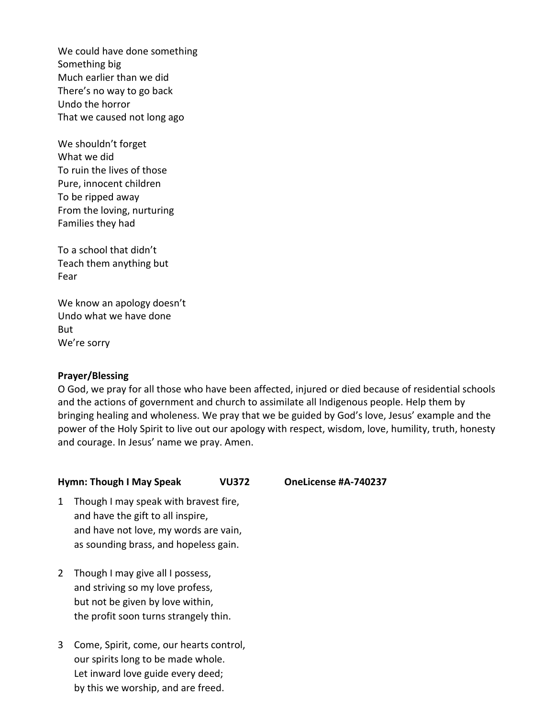We could have done something Something big Much earlier than we did There's no way to go back Undo the horror That we caused not long ago

We shouldn't forget What we did To ruin the lives of those Pure, innocent children To be ripped away From the loving, nurturing Families they had

To a school that didn't Teach them anything but Fear

We know an apology doesn't Undo what we have done But We're sorry

#### **Prayer/Blessing**

O God, we pray for all those who have been affected, injured or died because of residential schools and the actions of government and church to assimilate all Indigenous people. Help them by bringing healing and wholeness. We pray that we be guided by God's love, Jesus' example and the power of the Holy Spirit to live out our apology with respect, wisdom, love, humility, truth, honesty and courage. In Jesus' name we pray. Amen.

#### **Hymn: Though I May Speak VU372 OneLicense #A-740237**

- 1 Though I may speak with bravest fire, and have the gift to all inspire, and have not love, my words are vain, as sounding brass, and hopeless gain.
- 2 Though I may give all I possess, and striving so my love profess, but not be given by love within, the profit soon turns strangely thin.
- 3 Come, Spirit, come, our hearts control, our spirits long to be made whole. Let inward love guide every deed; by this we worship, and are freed.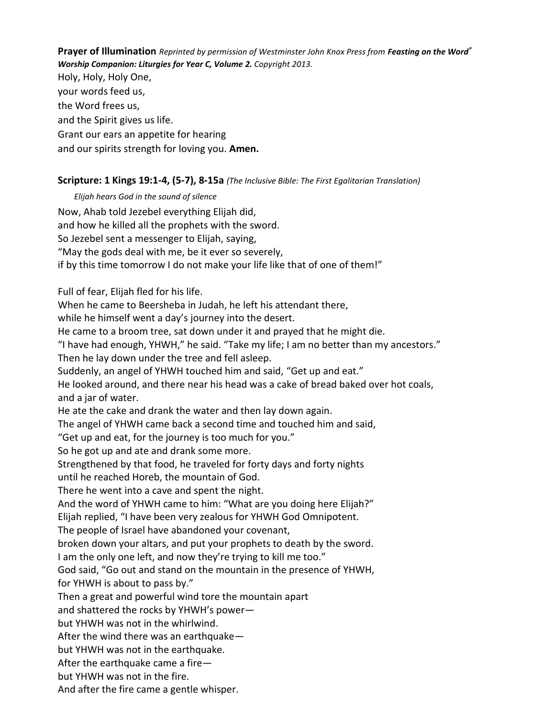**Prayer of Illumination** *Reprinted by permission of Westminster John Knox Press from Feasting on the Word® Worship Companion: Liturgies for Year C, Volume 2. Copyright 2013.* Holy, Holy, Holy One, your words feed us, the Word frees us, and the Spirit gives us life. Grant our ears an appetite for hearing and our spirits strength for loving you. **Amen.**

## **Scripture: 1 Kings 19:1-4, (5-7), 8-15a** *(The Inclusive Bible: The First Egalitarian Translation)*

*Elijah hears God in the sound of silence* Now, Ahab told Jezebel everything Elijah did, and how he killed all the prophets with the sword. So Jezebel sent a messenger to Elijah, saying, "May the gods deal with me, be it ever so severely, if by this time tomorrow I do not make your life like that of one of them!" Full of fear, Elijah fled for his life. When he came to Beersheba in Judah, he left his attendant there, while he himself went a day's journey into the desert. He came to a broom tree, sat down under it and prayed that he might die. "I have had enough, YHWH," he said. "Take my life; I am no better than my ancestors." Then he lay down under the tree and fell asleep. Suddenly, an angel of YHWH touched him and said, "Get up and eat." He looked around, and there near his head was a cake of bread baked over hot coals, and a jar of water. He ate the cake and drank the water and then lay down again. The angel of YHWH came back a second time and touched him and said, "Get up and eat, for the journey is too much for you." So he got up and ate and drank some more. Strengthened by that food, he traveled for forty days and forty nights until he reached Horeb, the mountain of God. There he went into a cave and spent the night. And the word of YHWH came to him: "What are you doing here Elijah?" Elijah replied, "I have been very zealous for YHWH God Omnipotent. The people of Israel have abandoned your covenant, broken down your altars, and put your prophets to death by the sword. I am the only one left, and now they're trying to kill me too." God said, "Go out and stand on the mountain in the presence of YHWH, for YHWH is about to pass by." Then a great and powerful wind tore the mountain apart and shattered the rocks by YHWH's power but YHWH was not in the whirlwind. After the wind there was an earthquake but YHWH was not in the earthquake. After the earthquake came a fire but YHWH was not in the fire. And after the fire came a gentle whisper.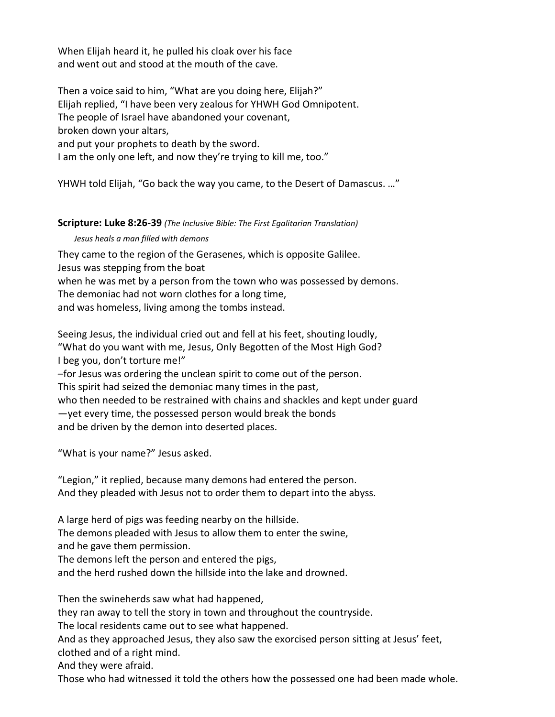When Elijah heard it, he pulled his cloak over his face and went out and stood at the mouth of the cave.

Then a voice said to him, "What are you doing here, Elijah?" Elijah replied, "I have been very zealous for YHWH God Omnipotent. The people of Israel have abandoned your covenant, broken down your altars, and put your prophets to death by the sword. I am the only one left, and now they're trying to kill me, too."

YHWH told Elijah, "Go back the way you came, to the Desert of Damascus. …"

## **Scripture: Luke 8:26-39** *(The Inclusive Bible: The First Egalitarian Translation)*

## *Jesus heals a man filled with demons*

They came to the region of the Gerasenes, which is opposite Galilee. Jesus was stepping from the boat

when he was met by a person from the town who was possessed by demons. The demoniac had not worn clothes for a long time,

and was homeless, living among the tombs instead.

Seeing Jesus, the individual cried out and fell at his feet, shouting loudly, "What do you want with me, Jesus, Only Begotten of the Most High God? I beg you, don't torture me!"

–for Jesus was ordering the unclean spirit to come out of the person.

This spirit had seized the demoniac many times in the past,

who then needed to be restrained with chains and shackles and kept under guard —yet every time, the possessed person would break the bonds and be driven by the demon into deserted places.

"What is your name?" Jesus asked.

"Legion," it replied, because many demons had entered the person. And they pleaded with Jesus not to order them to depart into the abyss.

A large herd of pigs was feeding nearby on the hillside.

The demons pleaded with Jesus to allow them to enter the swine,

and he gave them permission.

The demons left the person and entered the pigs,

and the herd rushed down the hillside into the lake and drowned.

Then the swineherds saw what had happened,

they ran away to tell the story in town and throughout the countryside.

The local residents came out to see what happened.

And as they approached Jesus, they also saw the exorcised person sitting at Jesus' feet, clothed and of a right mind.

And they were afraid.

Those who had witnessed it told the others how the possessed one had been made whole.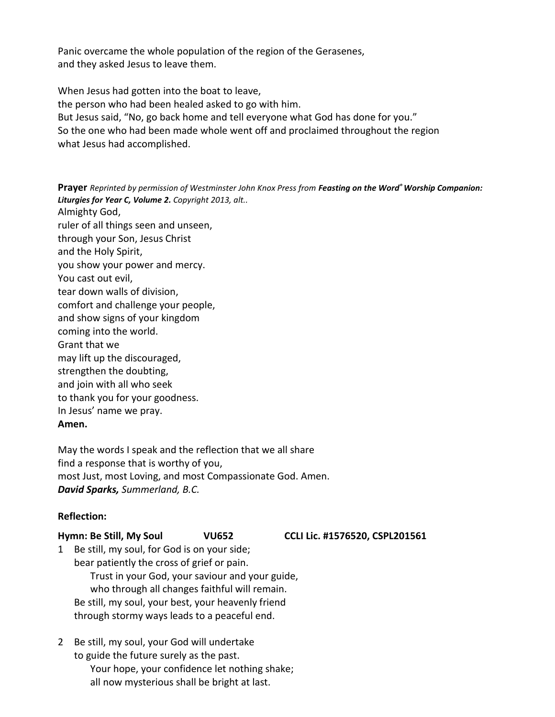Panic overcame the whole population of the region of the Gerasenes, and they asked Jesus to leave them.

When Jesus had gotten into the boat to leave, the person who had been healed asked to go with him. But Jesus said, "No, go back home and tell everyone what God has done for you." So the one who had been made whole went off and proclaimed throughout the region what Jesus had accomplished.

**Prayer** *Reprinted by permission of Westminster John Knox Press from Feasting on the Word® Worship Companion: Liturgies for Year C, Volume 2. Copyright 2013, alt..* Almighty God, ruler of all things seen and unseen, through your Son, Jesus Christ and the Holy Spirit, you show your power and mercy. You cast out evil, tear down walls of division, comfort and challenge your people, and show signs of your kingdom coming into the world. Grant that we may lift up the discouraged, strengthen the doubting, and join with all who seek to thank you for your goodness. In Jesus' name we pray.

#### **Amen.**

May the words I speak and the reflection that we all share find a response that is worthy of you, most Just, most Loving, and most Compassionate God. Amen. *David Sparks, Summerland, B.C.*

## **Reflection:**

**Hymn: Be Still, My Soul VU652 CCLI Lic. #1576520, CSPL201561**

- 1 Be still, my soul, for God is on your side; bear patiently the cross of grief or pain. Trust in your God, your saviour and your guide, who through all changes faithful will remain. Be still, my soul, your best, your heavenly friend through stormy ways leads to a peaceful end.
- 2 Be still, my soul, your God will undertake to guide the future surely as the past. Your hope, your confidence let nothing shake; all now mysterious shall be bright at last.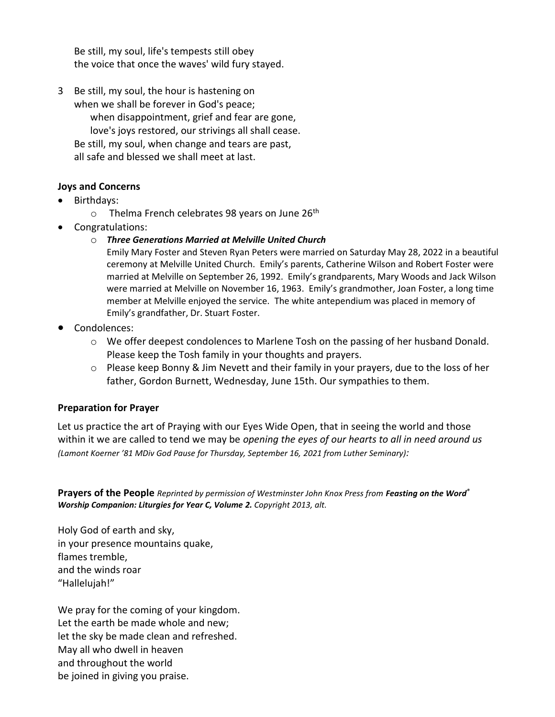Be still, my soul, life's tempests still obey the voice that once the waves' wild fury stayed.

3 Be still, my soul, the hour is hastening on when we shall be forever in God's peace; when disappointment, grief and fear are gone, love's joys restored, our strivings all shall cease. Be still, my soul, when change and tears are past, all safe and blessed we shall meet at last.

# **Joys and Concerns**

- Birthdays:
	- $\circ$  Thelma French celebrates 98 years on June 26<sup>th</sup>
- Congratulations:
	- o *Three Generations Married at Melville United Church*

Emily Mary Foster and Steven Ryan Peters were married on Saturday May 28, 2022 in a beautiful ceremony at Melville United Church. Emily's parents, Catherine Wilson and Robert Foster were married at Melville on September 26, 1992. Emily's grandparents, Mary Woods and Jack Wilson were married at Melville on November 16, 1963. Emily's grandmother, Joan Foster, a long time member at Melville enjoyed the service. The white antependium was placed in memory of Emily's grandfather, Dr. Stuart Foster.

- Condolences:
	- $\circ$  We offer deepest condolences to Marlene Tosh on the passing of her husband Donald. Please keep the Tosh family in your thoughts and prayers.
	- o Please keep Bonny & Jim Nevett and their family in your prayers, due to the loss of her father, Gordon Burnett, Wednesday, June 15th. Our sympathies to them.

# **Preparation for Prayer**

Let us practice the art of Praying with our Eyes Wide Open, that in seeing the world and those within it we are called to tend we may be *opening the eyes of our hearts to all in need around us (Lamont Koerner '81 MDiv God Pause for Thursday, September 16, 2021 from Luther Seminary):*

**Prayers of the People** *Reprinted by permission of Westminster John Knox Press from Feasting on the Word® Worship Companion: Liturgies for Year C, Volume 2. Copyright 2013, alt.*

Holy God of earth and sky, in your presence mountains quake, flames tremble, and the winds roar "Hallelujah!"

We pray for the coming of your kingdom. Let the earth be made whole and new; let the sky be made clean and refreshed. May all who dwell in heaven and throughout the world be joined in giving you praise.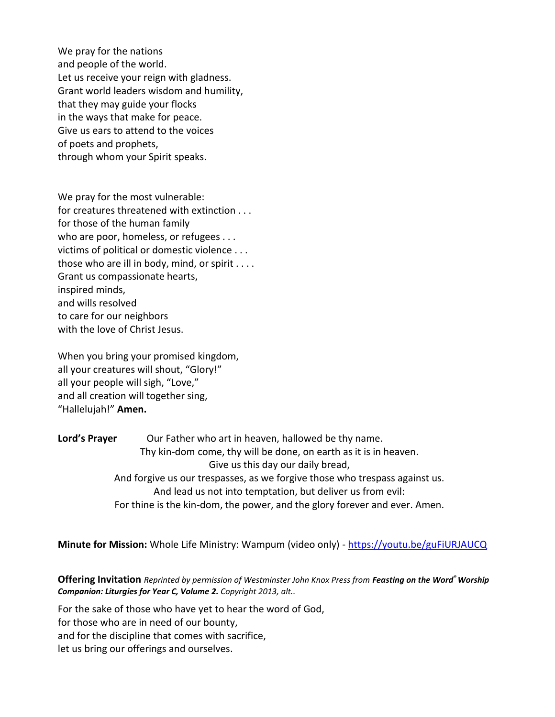We pray for the nations and people of the world. Let us receive your reign with gladness. Grant world leaders wisdom and humility, that they may guide your flocks in the ways that make for peace. Give us ears to attend to the voices of poets and prophets, through whom your Spirit speaks.

We pray for the most vulnerable: for creatures threatened with extinction . . . for those of the human family who are poor, homeless, or refugees . . . victims of political or domestic violence . . . those who are ill in body, mind, or spirit . . . . Grant us compassionate hearts, inspired minds, and wills resolved to care for our neighbors with the love of Christ Jesus.

When you bring your promised kingdom, all your creatures will shout, "Glory!" all your people will sigh, "Love," and all creation will together sing, "Hallelujah!" **Amen.**

Lord's Prayer **Our Father who art in heaven, hallowed be thy name.** Thy kin-dom come, thy will be done, on earth as it is in heaven. Give us this day our daily bread, And forgive us our trespasses, as we forgive those who trespass against us. And lead us not into temptation, but deliver us from evil: For thine is the kin-dom, the power, and the glory forever and ever. Amen.

**Minute for Mission:** Whole Life Ministry: Wampum (video only) - <https://youtu.be/guFiURJAUCQ>

**Offering Invitation** *Reprinted by permission of Westminster John Knox Press from Feasting on the Word® Worship Companion: Liturgies for Year C, Volume 2. Copyright 2013, alt..*

For the sake of those who have yet to hear the word of God, for those who are in need of our bounty, and for the discipline that comes with sacrifice, let us bring our offerings and ourselves.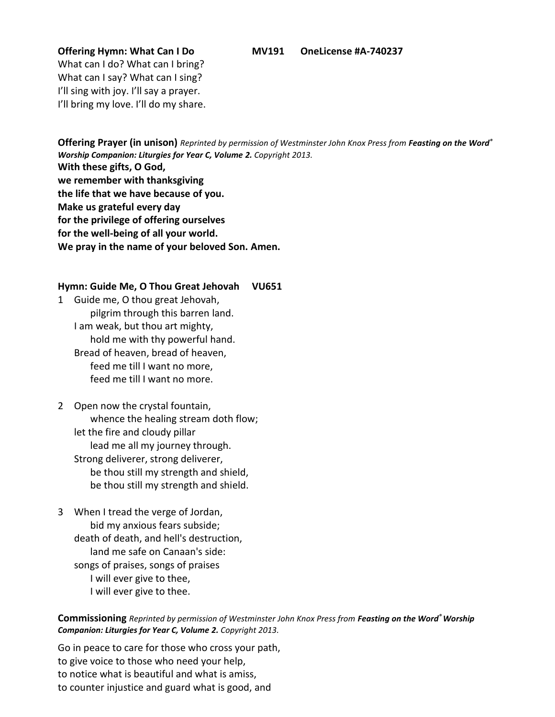What can I do? What can I bring? What can I say? What can I sing? I'll sing with joy. I'll say a prayer. I'll bring my love. I'll do my share.

**Offering Prayer (in unison)** *Reprinted by permission of Westminster John Knox Press from Feasting on the Word® Worship Companion: Liturgies for Year C, Volume 2. Copyright 2013.* **With these gifts, O God, we remember with thanksgiving the life that we have because of you. Make us grateful every day for the privilege of offering ourselves for the well-being of all your world. We pray in the name of your beloved Son. Amen.**

#### **Hymn: Guide Me, O Thou Great Jehovah VU651**

1 Guide me, O thou great Jehovah, pilgrim through this barren land. I am weak, but thou art mighty, hold me with thy powerful hand. Bread of heaven, bread of heaven, feed me till I want no more, feed me till I want no more.

# 2 Open now the crystal fountain, whence the healing stream doth flow; let the fire and cloudy pillar lead me all my journey through. Strong deliverer, strong deliverer, be thou still my strength and shield, be thou still my strength and shield.

3 When I tread the verge of Jordan, bid my anxious fears subside; death of death, and hell's destruction, land me safe on Canaan's side: songs of praises, songs of praises I will ever give to thee, I will ever give to thee.

**Commissioning** *Reprinted by permission of Westminster John Knox Press from Feasting on the Word® Worship Companion: Liturgies for Year C, Volume 2. Copyright 2013.*

Go in peace to care for those who cross your path, to give voice to those who need your help, to notice what is beautiful and what is amiss, to counter injustice and guard what is good, and